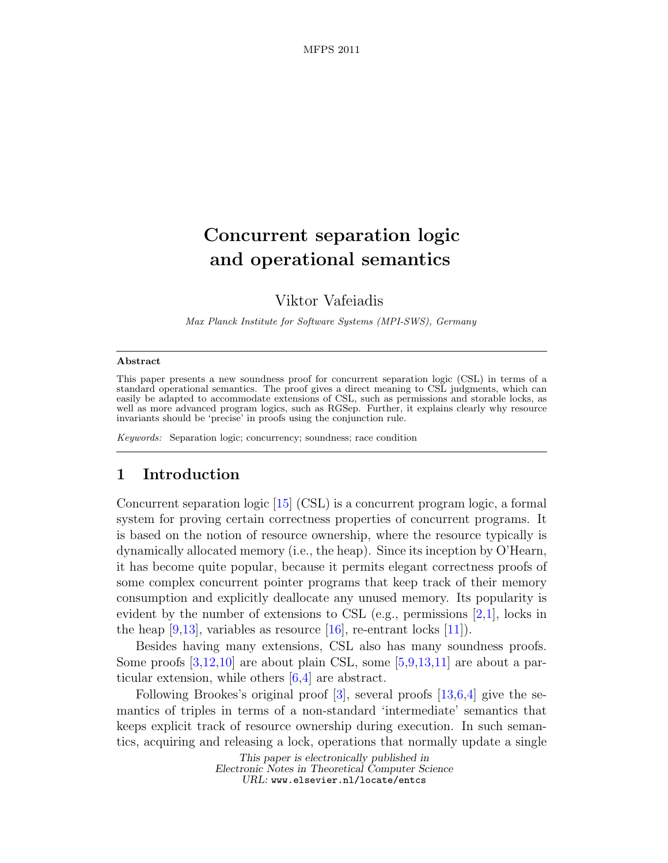# Concurrent separation logic and operational semantics

Viktor Vafeiadis

Max Planck Institute for Software Systems (MPI-SWS), Germany

#### Abstract

This paper presents a new soundness proof for concurrent separation logic (CSL) in terms of a standard operational semantics. The proof gives a direct meaning to CSL judgments, which can easily be adapted to accommodate extensions of CSL, such as permissions and storable locks, as well as more advanced program logics, such as RGSep. Further, it explains clearly why resource invariants should be 'precise' in proofs using the conjunction rule.

Keywords: Separation logic; concurrency; soundness; race condition

# 1 Introduction

Concurrent separation logic [\[15\]](#page-17-0) (CSL) is a concurrent program logic, a formal system for proving certain correctness properties of concurrent programs. It is based on the notion of resource ownership, where the resource typically is dynamically allocated memory (i.e., the heap). Since its inception by O'Hearn, it has become quite popular, because it permits elegant correctness proofs of some complex concurrent pointer programs that keep track of their memory consumption and explicitly deallocate any unused memory. Its popularity is evident by the number of extensions to CSL (e.g., permissions  $[2,1]$  $[2,1]$ , locks in the heap  $[9,13]$  $[9,13]$ , variables as resource  $[16]$ , re-entrant locks  $[11]$ ).

Besides having many extensions, CSL also has many soundness proofs. Some proofs  $[3,12,10]$  $[3,12,10]$  $[3,12,10]$  are about plain CSL, some  $[5,9,13,11]$  $[5,9,13,11]$  $[5,9,13,11]$  $[5,9,13,11]$  are about a particular extension, while others [\[6,](#page-16-4)[4\]](#page-16-5) are abstract.

Following Brookes's original proof  $[3]$ , several proofs  $[13,6,4]$  $[13,6,4]$  $[13,6,4]$  give the semantics of triples in terms of a non-standard 'intermediate' semantics that keeps explicit track of resource ownership during execution. In such semantics, acquiring and releasing a lock, operations that normally update a single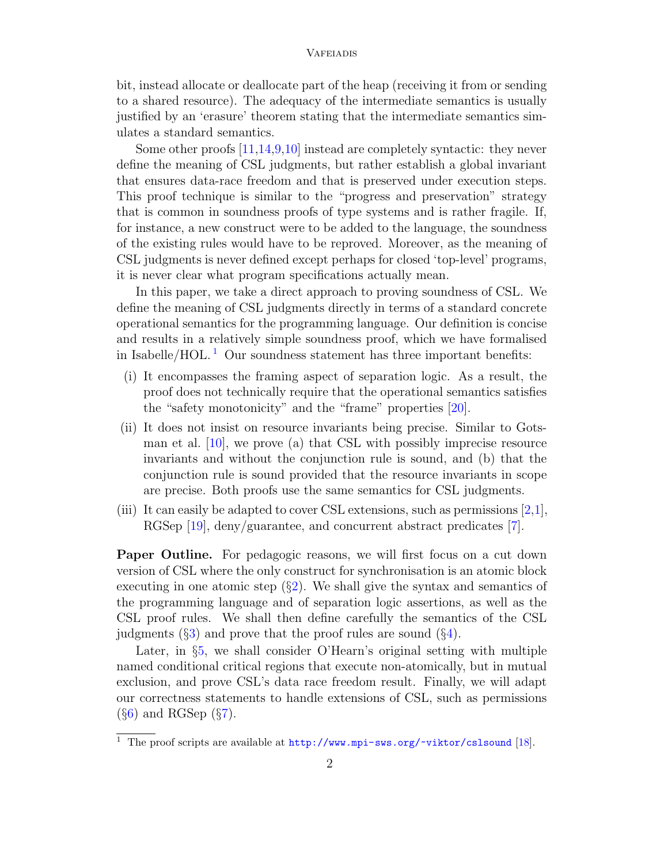bit, instead allocate or deallocate part of the heap (receiving it from or sending to a shared resource). The adequacy of the intermediate semantics is usually justified by an 'erasure' theorem stating that the intermediate semantics simulates a standard semantics.

Some other proofs [\[11,](#page-17-4)[14,](#page-17-7)[9,](#page-17-1)[10\]](#page-17-6) instead are completely syntactic: they never define the meaning of CSL judgments, but rather establish a global invariant that ensures data-race freedom and that is preserved under execution steps. This proof technique is similar to the "progress and preservation" strategy that is common in soundness proofs of type systems and is rather fragile. If, for instance, a new construct were to be added to the language, the soundness of the existing rules would have to be reproved. Moreover, as the meaning of CSL judgments is never defined except perhaps for closed 'top-level' programs, it is never clear what program specifications actually mean.

In this paper, we take a direct approach to proving soundness of CSL. We define the meaning of CSL judgments directly in terms of a standard concrete operational semantics for the programming language. Our definition is concise and results in a relatively simple soundness proof, which we have formalised in Isabelle/HOL.<sup>[1](#page-1-0)</sup> Our soundness statement has three important benefits:

- (i) It encompasses the framing aspect of separation logic. As a result, the proof does not technically require that the operational semantics satisfies the "safety monotonicity" and the "frame" properties [\[20\]](#page-17-8).
- (ii) It does not insist on resource invariants being precise. Similar to Gotsman et al. [\[10\]](#page-17-6), we prove (a) that CSL with possibly imprecise resource invariants and without the conjunction rule is sound, and (b) that the conjunction rule is sound provided that the resource invariants in scope are precise. Both proofs use the same semantics for CSL judgments.
- (iii) It can easily be adapted to cover CSL extensions, such as permissions [\[2,](#page-16-0)[1\]](#page-16-1), RGSep [\[19\]](#page-17-9), deny/guarantee, and concurrent abstract predicates [\[7\]](#page-16-6).

Paper Outline. For pedagogic reasons, we will first focus on a cut down version of CSL where the only construct for synchronisation is an atomic block executing in one atomic step  $(\S2)$  $(\S2)$ . We shall give the syntax and semantics of the programming language and of separation logic assertions, as well as the CSL proof rules. We shall then define carefully the semantics of the CSL judgments  $(\S3)$  $(\S3)$  and prove that the proof rules are sound  $(\S4)$  $(\S4)$ .

Later, in §[5,](#page-10-0) we shall consider O'Hearn's original setting with multiple named conditional critical regions that execute non-atomically, but in mutual exclusion, and prove CSL's data race freedom result. Finally, we will adapt our correctness statements to handle extensions of CSL, such as permissions  $(\S6)$  $(\S6)$  and RGSep  $(\S7)$  $(\S7)$ .

<span id="page-1-0"></span> $\overline{1}$  The proof scripts are available at <http://www.mpi-sws.org/~viktor/cslsound> [\[18\]](#page-17-10).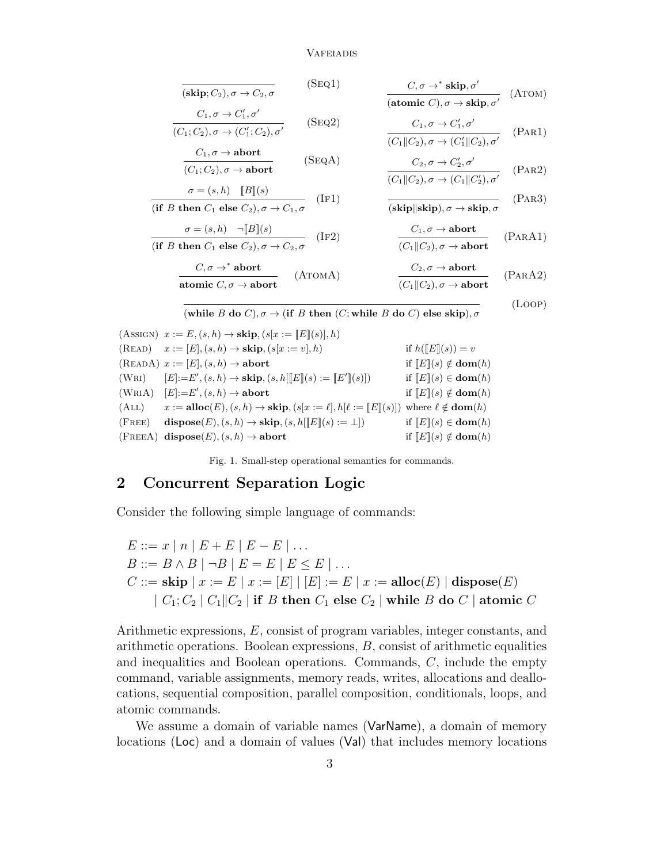$$
\overline{\textbf{(skip;)}C_2), \sigma \to C_2, \sigma} \qquad \qquad \textbf{(Seq1)} \qquad \qquad \frac{C, \sigma \to^* \textbf{skip}, \sigma'}{\textbf{(atomic }C), \sigma \to \textbf{skip}, \sigma'} \qquad \textbf{(A\texttt{TOM})}
$$

$$
\frac{C_1, \sigma \to C'_1, \sigma'}{(C_1; C_2), \sigma \to (C'_1; C_2), \sigma'}
$$
 (SEQ2)

$$
\frac{C_1, \sigma \to \text{abort}}{(C_1; C_2), \sigma \to \text{abort}} \qquad (\text{SeqA})
$$

$$
\frac{\sigma = (s, h) \quad [B](s)}{\text{(if } B \text{ then } C_1 \text{ else } C_2\text{), } \sigma \to C_1, \sigma} \quad (\text{IF1})
$$

$$
\frac{\sigma = (s, h) \quad \neg [B](s)}{\text{(if } B \text{ then } C_1 \text{ else } C_2\text{), } \sigma \to C_2\text{, } \sigma} \quad (\text{IF2})
$$

$$
\frac{C_1, \sigma \to C_1', \sigma'}{(C_1 \| C_2), \sigma \to (C_1' \| C_2), \sigma'}
$$
 (PAR1)

$$
\frac{C_2, \sigma \to C_2', \sigma'}{(C_1 \| C_2), \sigma \to (C_1 \| C_2'), \sigma'}
$$
 (PAR2)

$$
\frac{}{(\textbf{skip}||\textbf{skip}),\sigma\to\textbf{skip},\sigma} \qquad \qquad (\text{PAR3})
$$

$$
\frac{C_1, \sigma \to \text{abort}}{(C_1 \| C_2), \sigma \to \text{abort}} \qquad \text{(PARA1)}
$$

(Loop)

$$
\frac{C, \sigma \to^* \text{abort}}{\text{atomic } C, \sigma \to \text{abort}} \qquad \text{(ATOMA)} \qquad \qquad \frac{C_2, \sigma \to \text{abort}}{(C_1 \| C_2), \sigma \to \text{abort}} \qquad \text{(PARA2)}
$$

(which is a specific function of the image) is a function of 
$$
B
$$
 do  $C$ ), where  $B$  do  $C$  are the same function of  $B$  to  $C$ ), where  $C$  is the function of  $B$  to  $C$ , where  $C$  is the function of  $B$  to  $C$ , where  $C$  is the function of  $B$  to  $C$ , where  $C$  is the function of  $B$  to  $C$ , where  $C$  is the function of  $B$  to  $C$ , where  $C$  is the function of  $B$  to  $C$ .

(ASSIGN)  $x := E$ ,  $(s, h) \rightarrow$  **skip**,  $(s[x := [E](s)], h)$ (READ)  $x := [E], (s, h) \rightarrow \textbf{skip}, (s[x := v], h)$  if  $h([E](s)) = v$ (READA)  $x := [E], (s, h) \rightarrow$  abort if  $[[E]](s) \notin \text{dom}(h)$ (WRI)  $[E] := E', (s, h) \to \mathbf{skip}, (s, h[[E](s) := [E']$ if  $[E](s) \in \textbf{dom}(h)$  $(WRIA)$   $[E]:=E'$ if  $[E](s) \notin \textbf{dom}(h)$ (ALL)  $x := \textbf{alloc}(E), (s, h) \rightarrow \textbf{skip}, (s[x := \ell], h[\ell := [E](s)])$  where  $\ell \notin \textbf{dom}(h)$ (FREE) dispose(E),  $(s, h) \rightarrow$  skip,  $(s, h[[E](s) := \bot])$  if  $[E](s) \in \text{dom}(h)$ (FREEA) dispose(E),  $(s, h) \rightarrow$  abort if  $\llbracket E \rrbracket(s) \notin \textbf{dom}(h)$ 

Fig. 1. Small-step operational semantics for commands.

# <span id="page-2-1"></span><span id="page-2-0"></span>2 Concurrent Separation Logic

Consider the following simple language of commands:

$$
E ::= x | n | E + E | E - E | \dots
$$
  
\n
$$
B ::= B \land B | \neg B | E = E | E \le E | \dots
$$
  
\n
$$
C ::= \textbf{skip} | x := E | x := [E] | [E] := E | x := \textbf{alloc}(E) | \textbf{dispose}(E)
$$
  
\n
$$
| C_1; C_2 | C_1 || C_2 | \textbf{if } B \textbf{ then } C_1 \textbf{ else } C_2 | \textbf{while } B \textbf{ do } C | \textbf{atomic } C
$$

Arithmetic expressions, E, consist of program variables, integer constants, and arithmetic operations. Boolean expressions, B, consist of arithmetic equalities and inequalities and Boolean operations. Commands,  $C$ , include the empty command, variable assignments, memory reads, writes, allocations and deallocations, sequential composition, parallel composition, conditionals, loops, and atomic commands.

We assume a domain of variable names (VarName), a domain of memory locations (Loc) and a domain of values (Val) that includes memory locations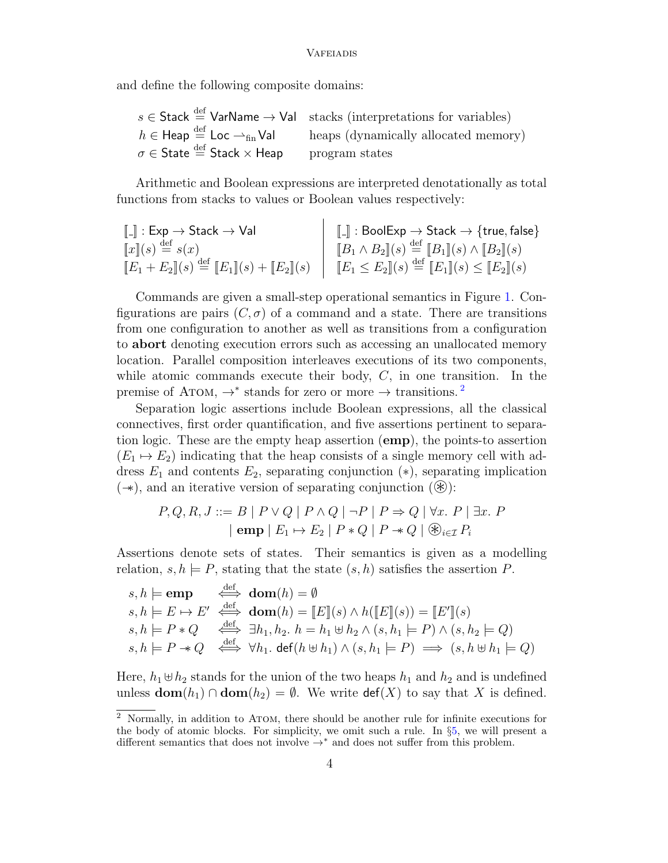and define the following composite domains:

|                                                                                                 | $s \in$ Stack $\stackrel{\text{def}}{=}$ VarName $\rightarrow$ Val stacks (interpretations for variables) |
|-------------------------------------------------------------------------------------------------|-----------------------------------------------------------------------------------------------------------|
| $h \in \text{Heap} \stackrel{\text{def}}{=} \text{Loc} \rightharpoonup_{\text{fin}} \text{Val}$ | heaps (dynamically allocated memory)                                                                      |
| $\sigma \in \mathsf{State} \stackrel{\text{def}}{=} \mathsf{Stack} \times \mathsf{Heap}$        | program states                                                                                            |

Arithmetic and Boolean expressions are interpreted denotationally as total functions from stacks to values or Boolean values respectively:

$$
\begin{array}{ll}\n\llbracket . \rrbracket : \text{Exp} \to \text{Stack} \to \text{Val} \\
\llbracket x \rrbracket (s) \stackrel{\text{def}}{=} s(x) \\
\llbracket E_1 + E_2 \rrbracket (s) \stackrel{\text{def}}{=} \llbracket E_1 \rrbracket (s) + \llbracket E_2 \rrbracket (s)\n\end{array}\n\quad\n\begin{array}{ll}\n\llbracket . \rrbracket : \text{BoolExp} \to \text{Stack} \to \{\text{true}, \text{false}\} \\
\llbracket B_1 \wedge B_2 \rrbracket (s) \stackrel{\text{def}}{=} \llbracket B_1 \rrbracket (s) \wedge \llbracket B_2 \rrbracket (s) \\
\llbracket E_1 + E_2 \rrbracket (s)\n\end{array}
$$

Commands are given a small-step operational semantics in Figure [1.](#page-2-1) Configurations are pairs  $(C, \sigma)$  of a command and a state. There are transitions from one configuration to another as well as transitions from a configuration to abort denoting execution errors such as accessing an unallocated memory location. Parallel composition interleaves executions of its two components, while atomic commands execute their body,  $C$ , in one transition. In the premise of ATOM,  $\rightarrow^*$  stands for zero or more  $\rightarrow$  transitions.<sup>[2](#page-3-0)</sup>

Separation logic assertions include Boolean expressions, all the classical connectives, first order quantification, and five assertions pertinent to separation logic. These are the empty heap assertion (emp), the points-to assertion  $(E_1 \mapsto E_2)$  indicating that the heap consists of a single memory cell with address  $E_1$  and contents  $E_2$ , separating conjunction (\*), separating implication  $(\rightarrow)$ , and an iterative version of separating conjunction  $(\circledast)$ :

$$
P, Q, R, J ::= B | P \lor Q | P \land Q | \neg P | P \Rightarrow Q | \forall x. P | \exists x. P
$$
  
 
$$
|\operatorname{emp} | E_1 \rightarrow E_2 | P * Q | P \rightarrow Q | \circledast_{i \in \mathcal{I}} P_i
$$

Assertions denote sets of states. Their semantics is given as a modelling relation,  $s, h \models P$ , stating that the state  $(s, h)$  satisfies the assertion P.

$$
s, h \models \text{emp} \quad \stackrel{\text{def}}{\iff} \text{dom}(h) = \emptyset
$$
  
\n
$$
s, h \models E \mapsto E' \quad \stackrel{\text{def}}{\iff} \text{dom}(h) = [E](s) \land h([E](s)) = [E'](s)
$$
  
\n
$$
s, h \models P * Q \quad \stackrel{\text{def}}{\iff} \exists h_1, h_2. h = h_1 \uplus h_2 \land (s, h_1 \models P) \land (s, h_2 \models Q)
$$
  
\n
$$
s, h \models P \twoheadrightarrow Q \quad \stackrel{\text{def}}{\iff} \forall h_1. \text{ def}(h \uplus h_1) \land (s, h_1 \models P) \implies (s, h \uplus h_1 \models Q)
$$

Here,  $h_1 \oplus h_2$  stands for the union of the two heaps  $h_1$  and  $h_2$  and is undefined unless  $\textbf{dom}(h_1) \cap \textbf{dom}(h_2) = \emptyset$ . We write  $\textbf{def}(X)$  to say that X is defined.

<span id="page-3-0"></span><sup>2</sup> Normally, in addition to Atom, there should be another rule for infinite executions for the body of atomic blocks. For simplicity, we omit such a rule. In §[5,](#page-10-0) we will present a different semantics that does not involve  $\rightarrow^*$  and does not suffer from this problem.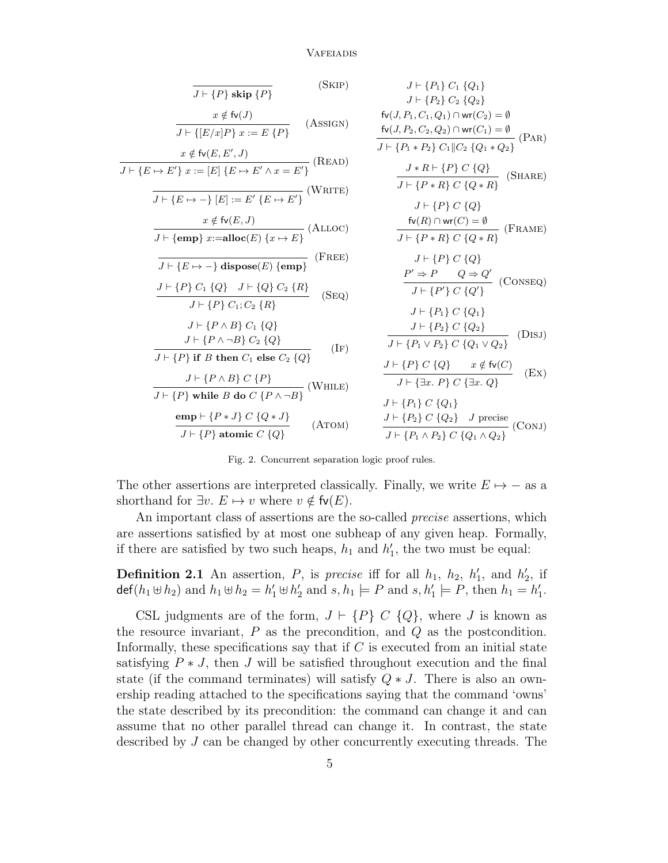$$
\frac{1}{J + \{P\} \text{ skip } \{P\}} \quad \text{(SKIP)} \quad J + \{P_1\} C_1 \{Q_1\} \\
\frac{x \notin \mathfrak{h}(J)}{J + \{[E/x]P\} x := E \{P\}} \quad \text{(Assic)} \\
\frac{1}{J + \{[E/x]P\} x := E \{P\}} \quad \text{(Assic)} \\
\frac{1}{J + \{[E/x]P\} x := E \{P\}} \quad \text{(Assic)} \\
\frac{1}{J + \{P_1 \cdot P_2\} C_1(Q_1) \cap w(C_1) = \emptyset}} \quad \frac{\mathfrak{h}(J, P_2, C_2, Q_2) \cap w(C_1) = \emptyset}{J + \{P_1 \cdot P_2\} C_1 |C_2 \{Q_1 \cdot Q_2\}} \quad \text{(PAR)} \\
\frac{1}{J + \{E \mapsto P'\} x := [E] \{E \mapsto E' \wedge x = E'\}} \quad \text{(READ)} \\
\frac{1}{J + \{P_1 \cdot P_2\} C \{Q\} x \{Q\}} \quad \frac{1}{J + \{P_1 \cdot P\} C \{Q\}} \quad \text{(SHARE)} \\
\frac{1}{J + \{P_2 \cdot P\} C \{Q\} x \{Q\}} \quad \frac{1}{J + \{P_1 \cdot P\} C \{Q\} x \{Q\}} \quad \text{(SHARE)} \\
\frac{1}{J + \{P_1 \cdot P\} C \{Q\} x \{Q\}} \quad \frac{1}{J + \{P_1 \cdot P\} C \{Q\} x \{Q\}} \quad \frac{1}{J + \{P_1 \cdot P\} C \{Q\} x \{Q\}} \quad \frac{1}{J + \{P_1 \cdot P\} C \{Q\} x \{Q\}} \quad \frac{1}{J + \{P_1 \cdot P\} C \{Q\} x \{Q\}} \quad \frac{1}{J + \{P_1 \cdot P\} C \{Q\} x \{Q\}} \quad \frac{1}{J + \{P_1 \cdot P\} C \{Q\} x \{Q\}} \quad \frac{1}{J + \{P_1 \cdot P\} C \{Q\} x \{Q\}} \quad \frac{1}{J + \{P_1 \cdot P\} C \{Q\} x \{Q\}} \quad \frac{1}{J + \{P_1 \cdot P\} C \{Q\} x
$$

Fig. 2. Concurrent separation logic proof rules.

<span id="page-4-0"></span>The other assertions are interpreted classically. Finally, we write  $E \mapsto -$  as a shorthand for  $\exists v. E \mapsto v$  where  $v \notin \mathsf{fv}(E)$ .

An important class of assertions are the so-called *precise* assertions, which are assertions satisfied by at most one subheap of any given heap. Formally, if there are satisfied by two such heaps,  $h_1$  and  $h'_1$ , the two must be equal:

<span id="page-4-1"></span>**Definition 2.1** An assertion, P, is precise iff for all  $h_1$ ,  $h_2$ ,  $h'_1$ , and  $h'_2$ , if def( $h_1 \oplus h_2$ ) and  $h_1 \oplus h_2 = h'_1 \oplus h'_2$  and  $s, h_1 \models P$  and  $s, h'_1 \models P$ , then  $h_1 = h'_1$ .

CSL judgments are of the form,  $J \vdash \{P\} \ C \ \{Q\}$ , where J is known as the resource invariant,  $P$  as the precondition, and  $Q$  as the postcondition. Informally, these specifications say that if  $C$  is executed from an initial state satisfying  $P * J$ , then J will be satisfied throughout execution and the final state (if the command terminates) will satisfy  $Q * J$ . There is also an ownership reading attached to the specifications saying that the command 'owns' the state described by its precondition: the command can change it and can assume that no other parallel thread can change it. In contrast, the state described by J can be changed by other concurrently executing threads. The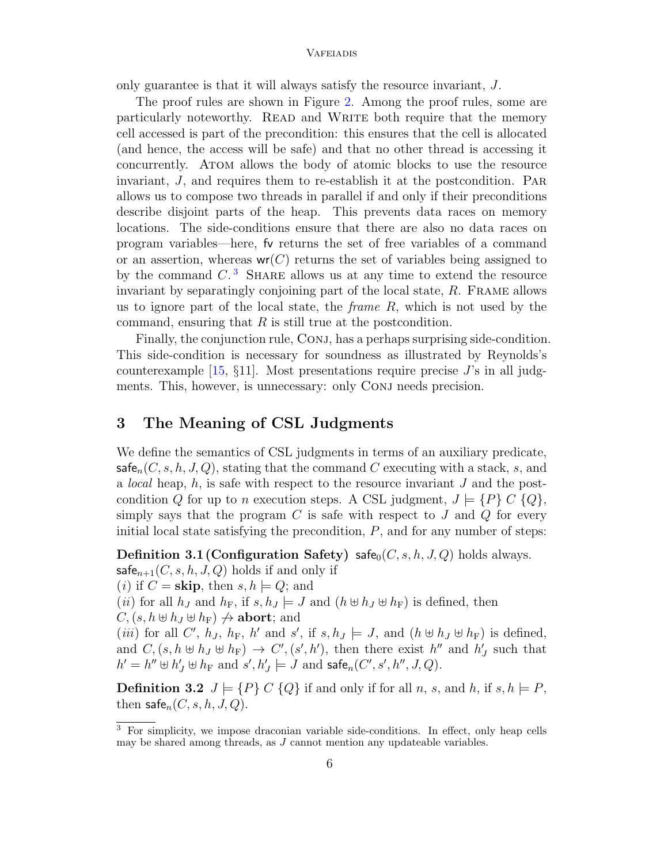only guarantee is that it will always satisfy the resource invariant, J.

The proof rules are shown in Figure [2.](#page-4-0) Among the proof rules, some are particularly noteworthy. READ and WRITE both require that the memory cell accessed is part of the precondition: this ensures that the cell is allocated (and hence, the access will be safe) and that no other thread is accessing it concurrently. Atom allows the body of atomic blocks to use the resource invariant, J, and requires them to re-establish it at the postcondition. Par allows us to compose two threads in parallel if and only if their preconditions describe disjoint parts of the heap. This prevents data races on memory locations. The side-conditions ensure that there are also no data races on program variables—here, fv returns the set of free variables of a command or an assertion, whereas  $wr(C)$  returns the set of variables being assigned to by the command  $C<sup>3</sup>$  $C<sup>3</sup>$  $C<sup>3</sup>$  SHARE allows us at any time to extend the resource invariant by separatingly conjoining part of the local state, R. Frame allows us to ignore part of the local state, the *frame R*, which is not used by the command, ensuring that  $R$  is still true at the postcondition.

Finally, the conjunction rule, CONJ, has a perhaps surprising side-condition. This side-condition is necessary for soundness as illustrated by Reynolds's counterexample  $[15, §11]$ . Most presentations require precise J's in all judgments. This, however, is unnecessary: only CONJ needs precision.

# <span id="page-5-0"></span>3 The Meaning of CSL Judgments

We define the semantics of CSL judgments in terms of an auxiliary predicate,  $\mathsf{safe}_n(C, s, h, J, Q)$ , stating that the command C executing with a stack, s, and a *local* heap,  $h$ , is safe with respect to the resource invariant  $J$  and the postcondition Q for up to n execution steps. A CSL judgment,  $J \models \{P\} C \{Q\},\$ simply says that the program  $C$  is safe with respect to  $J$  and  $Q$  for every initial local state satisfying the precondition,  $P$ , and for any number of steps:

<span id="page-5-2"></span>**Definition 3.1 (Configuration Safety)** safe<sub>0</sub> $(C, s, h, J, Q)$  holds always.

 $\mathsf{safe}_{n+1}(C, s, h, J, Q)$  holds if and only if

(*i*) if  $C =$  **skip**, then  $s, h \models Q$ ; and

(*ii*) for all  $h_J$  and  $h_F$ , if  $s, h_J \models J$  and  $(h \not\sqcup h_J \not\sqcup h_F)$  is defined, then

 $C, (s, h \oplus h_J \oplus h_F) \nrightarrow$  abort; and (*iii*) for all C',  $h_J$ ,  $h_F$ ,  $h'$  and  $s'$ , if  $s, h_J \models J$ , and  $(h \not\sqcup h_J \not\sqcup h_F)$  is defined, and  $C, (s, h \oplus h_J \oplus h_F) \rightarrow C', (s', h'),$  then there exist  $h''$  and  $h'_J$  such that  $h' = h'' \oplus h'_J \oplus h_F \text{ and } s', h'_J \models J \text{ and } \mathsf{safe}_n(C', s', h'', J, Q).$ 

**Definition 3.2**  $J \models \{P\} \ C \ \{Q\}$  if and only if for all n, s, and h, if s,  $h \models P$ , then  $\mathsf{safe}_n(C, s, h, J, Q)$ .

<span id="page-5-1"></span><sup>3</sup> For simplicity, we impose draconian variable side-conditions. In effect, only heap cells may be shared among threads, as J cannot mention any updateable variables.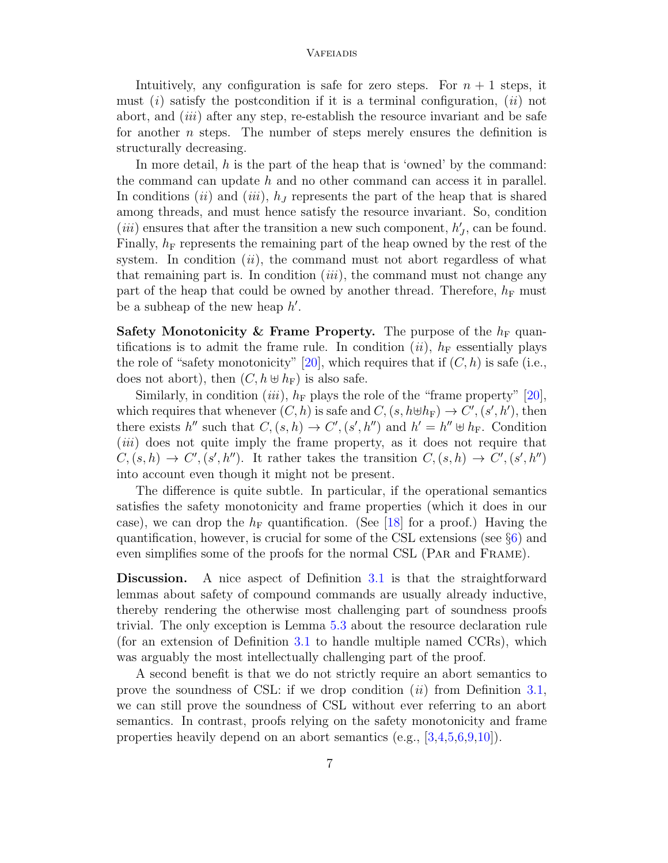Intuitively, any configuration is safe for zero steps. For  $n + 1$  steps, it must  $(i)$  satisfy the postcondition if it is a terminal configuration,  $(ii)$  not abort, and  $(iii)$  after any step, re-establish the resource invariant and be safe for another  $n$  steps. The number of steps merely ensures the definition is structurally decreasing.

In more detail,  $h$  is the part of the heap that is 'owned' by the command: the command can update  $h$  and no other command can access it in parallel. In conditions (ii) and (iii),  $h<sub>J</sub>$  represents the part of the heap that is shared among threads, and must hence satisfy the resource invariant. So, condition (*iii*) ensures that after the transition a new such component,  $h'_{J}$ , can be found. Finally,  $h_F$  represents the remaining part of the heap owned by the rest of the system. In condition  $(ii)$ , the command must not abort regardless of what that remaining part is. In condition *(iii)*, the command must not change any part of the heap that could be owned by another thread. Therefore,  $h_F$  must be a subheap of the new heap  $h'$ .

Safety Monotonicity & Frame Property. The purpose of the  $h_F$  quantifications is to admit the frame rule. In condition (*ii*),  $h_F$  essentially plays the role of "safety monotonicity" [\[20\]](#page-17-8), which requires that if  $(C, h)$  is safe (i.e., does not abort), then  $(C, h \oplus h_F)$  is also safe.

Similarly, in condition (*iii*),  $h_F$  plays the role of the "frame property" [\[20\]](#page-17-8), which requires that whenever  $(C, h)$  is safe and  $C, (s, h \oplus h_F) \to C', (s', h')$ , then there exists h'' such that  $C, (s, h) \to C', (s', h'')$  and  $h' = h'' \oplus h_F$ . Condition (*iii*) does not quite imply the frame property, as it does not require that  $C,(s,h) \to C', (s',h'')$ . It rather takes the transition  $C,(s,h) \to C', (s',h'')$ into account even though it might not be present.

The difference is quite subtle. In particular, if the operational semantics satisfies the safety monotonicity and frame properties (which it does in our case), we can drop the  $h_F$  quantification. (See [\[18\]](#page-17-10) for a proof.) Having the quantification, however, is crucial for some of the CSL extensions (see §[6\)](#page-12-0) and even simplifies some of the proofs for the normal CSL (Par and Frame).

Discussion. A nice aspect of Definition [3.1](#page-5-2) is that the straightforward lemmas about safety of compound commands are usually already inductive, thereby rendering the otherwise most challenging part of soundness proofs trivial. The only exception is Lemma [5.3](#page-12-1) about the resource declaration rule (for an extension of Definition [3.1](#page-5-2) to handle multiple named CCRs), which was arguably the most intellectually challenging part of the proof.

A second benefit is that we do not strictly require an abort semantics to prove the soundness of CSL: if we drop condition  $(ii)$  from Definition [3.1,](#page-5-2) we can still prove the soundness of CSL without ever referring to an abort semantics. In contrast, proofs relying on the safety monotonicity and frame properties heavily depend on an abort semantics (e.g., [\[3](#page-16-2)[,4](#page-16-5)[,5,](#page-16-3)[6,](#page-16-4)[9,](#page-17-1)[10\]](#page-17-6)).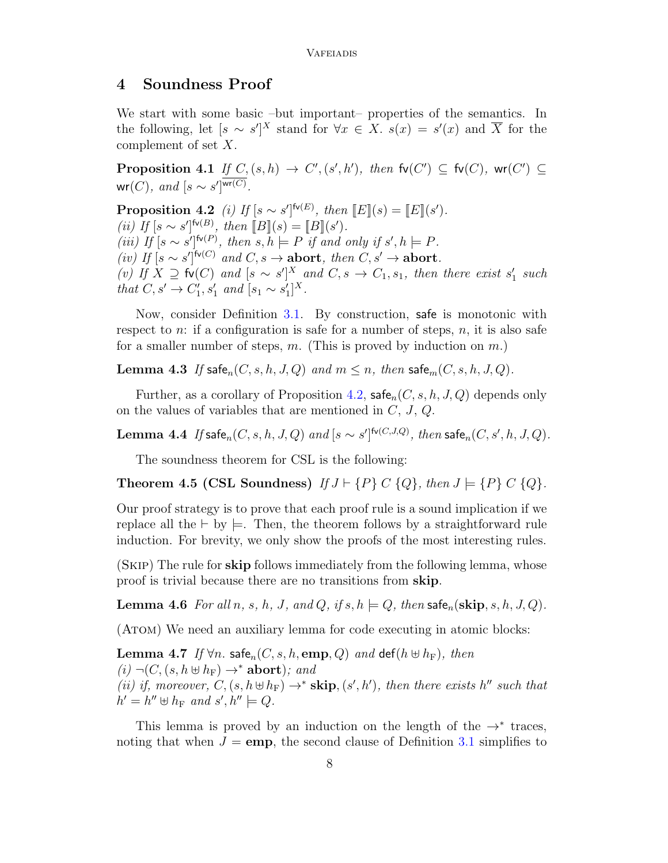### <span id="page-7-0"></span>4 Soundness Proof

We start with some basic –but important– properties of the semantics. In the following, let  $[s \sim s']^X$  stand for  $\forall x \in X$ .  $s(x) = s'(x)$  and  $\overline{X}$  for the complement of set X.

<span id="page-7-6"></span>**Proposition 4.1** If  $C, (s, h) \rightarrow C', (s', h')$ , then  $fv(C') \subseteq fv(C)$ ,  $wr(C') \subseteq$  $\mathsf{wr}(C)$ , and  $[s \sim s']^{\mathsf{wr}(C)}$ .

<span id="page-7-1"></span>**Proposition 4.2** (i) If  $[s \sim s']^{\mathsf{fv}(E)}$ , then  $[[E] \mid (s) = [[E] \mid (s')$ . (ii) If  $[s \sim s']^{f \vee (B)}$ , then  $[ B ](s) = [B ](s')$ . (iii) If  $[s \sim s']^{f \vee (P)}$ , then  $s, h \models P$  if and only if  $s', h \models P$ .  $(iv)$  If  $[s \sim s']^{f \circ (C)}$  and  $C, s \rightarrow$  abort, then  $C, s' \rightarrow$  abort. (v) If  $X \supseteq$  fv(C) and  $[s \sim s']^X$  and  $C, s \to C_1, s_1$ , then there exist  $s'_1$  such *that*  $C, s'$  →  $C'_1, s'_1$  *and*  $[s_1 \sim s'_1]^X$ .

Now, consider Definition [3.1.](#page-5-2) By construction, safe is monotonic with respect to n: if a configuration is safe for a number of steps, n, it is also safe for a smaller number of steps, m. (This is proved by induction on  $m$ .)

<span id="page-7-4"></span>**Lemma 4.3** If safe<sub>n</sub> $(C, s, h, J, Q)$  and  $m \leq n$ , then safe<sub>m</sub> $(C, s, h, J, Q)$ .

Further, as a corollary of Proposition [4.2,](#page-7-1)  $\mathsf{safe}_n(C, s, h, J, Q)$  depends only on the values of variables that are mentioned in  $C, J, Q$ .

<span id="page-7-5"></span>**Lemma 4.4** If  $\mathsf{safe}_n(C, s, h, J, Q)$  and  $[s \sim s']^{\mathsf{fv}(C, J, Q)},$  then  $\mathsf{safe}_n(C, s', h, J, Q).$ 

The soundness theorem for CSL is the following:

Theorem 4.5 (CSL Soundness) If  $J \vdash \{P\} C \{Q\}$ , then  $J \models \{P\} C \{Q\}$ .

Our proof strategy is to prove that each proof rule is a sound implication if we replace all the  $\vdash$  by  $\models$ . Then, the theorem follows by a straightforward rule induction. For brevity, we only show the proofs of the most interesting rules.

(Skip) The rule for skip follows immediately from the following lemma, whose proof is trivial because there are no transitions from skip.

<span id="page-7-3"></span>**Lemma 4.6** For all n, s, h, J, and Q, if  $s, h \models Q$ , then safe<sub>n</sub>(skip, s, h, J, Q).

(ATOM) We need an auxiliary lemma for code executing in atomic blocks:

<span id="page-7-2"></span>Lemma 4.7 If  $\forall n$ . safe<sub>n</sub> $(C, s, h, emp, Q)$  and def $(h \oplus h_F)$ , then  $(i) \neg (C, (s, h \oplus h_F) \rightarrow^* \textbf{abort});$  and (ii) if, moreover,  $C, (s, h \oplus h_F) \rightarrow^*$  skip,  $(s', h')$ , then there exists h'' such that  $h' = h'' \oplus h_F \text{ and } s', h'' \models Q.$ 

This lemma is proved by an induction on the length of the  $\rightarrow^*$  traces, noting that when  $J = \text{emp}$ , the second clause of Definition [3.1](#page-5-2) simplifies to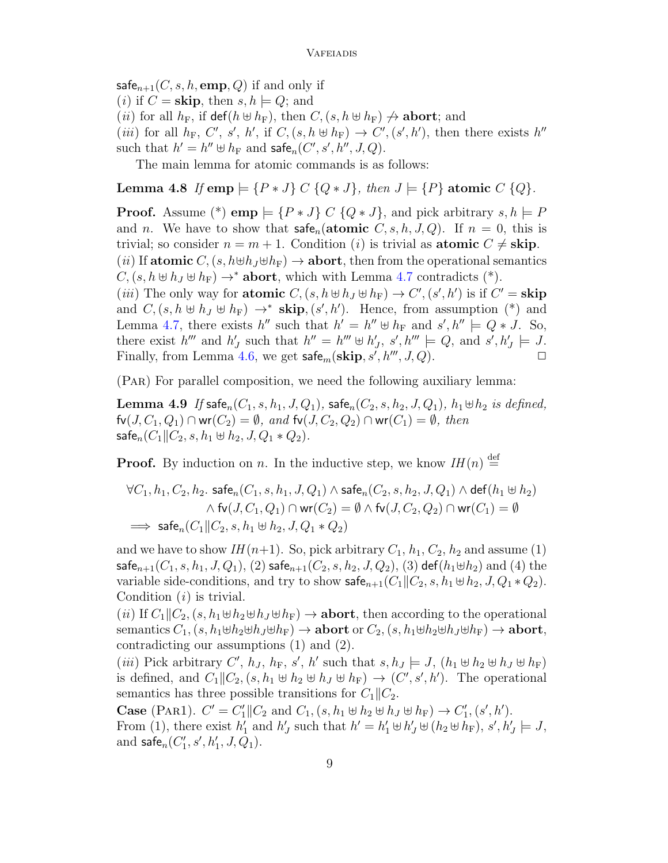$\mathsf{safe}_{n+1}(C, s, h, \mathbf{emp}, Q)$  if and only if (*i*) if  $C =$  **skip**, then  $s, h \models Q$ ; and (*ii*) for all  $h_F$ , if  $\det(h \oplus h_F)$ , then  $C,(s, h \oplus h_F) \nrightarrow \text{abort}$ ; and (*iii*) for all  $h_F$ , C', s', h', if C,  $(s, h \oplus h_F) \rightarrow C', (s', h')$ , then there exists h'' such that  $h' = h'' \uplus h_F$  and  $\mathsf{safe}_n(C', s', h'', J, Q)$ .

The main lemma for atomic commands is as follows:

Lemma 4.8 If emp  $\models \{P \cdot J\} \cup \{Q \cdot J\}$ , then  $J \models \{P\}$  atomic  $\cup \{Q\}$ .

**Proof.** Assume (\*) **emp**  $\models$  { $P * J$ } C { $Q * J$ }, and pick arbitrary  $s, h \models P$ and n. We have to show that  $\mathsf{safe}_n(\mathbf{atomic}\;C, s, h, J, Q)$ . If  $n = 0$ , this is trivial; so consider  $n = m + 1$ . Condition (i) is trivial as **atomic**  $C \neq$  **skip**. (ii) If atomic  $C,(s,h\oplus h_J\oplus h_F)\rightarrow$  abort, then from the operational semantics  $C, (s, h \oplus h_J \oplus h_F) \rightarrow^*$  abort, which with Lemma [4.7](#page-7-2) contradicts (\*). (*iii*) The only way for **atomic**  $C$ ,  $(s, h \oplus h_J \oplus h_F) \rightarrow C'$ ,  $(s', h')$  is if  $C' =$  **skip** and  $C, (s, h \oplus h_J \oplus h_F) \rightarrow^* \textbf{skip}, (s', h')$ . Hence, from assumption (\*) and Lemma [4.7,](#page-7-2) there exists h'' such that  $h' = h'' \oplus h_F$  and  $s', h'' \models Q * J$ . So, there exist  $h'''$  and  $h'_J$  such that  $h'' = h''' \oplus h'_J$ , s',  $h''' \models Q$ , and s',  $h'_J \models J$ .

(Par) For parallel composition, we need the following auxiliary lemma:

**Lemma 4.9** If safe<sub>n</sub> $(C_1, s, h_1, J, Q_1)$ , safe<sub>n</sub> $(C_2, s, h_2, J, Q_1)$ ,  $h_1 \oplus h_2$  is defined,  $f\nu(J, C_1, Q_1) \cap \text{wr}(C_2) = \emptyset$ , and  $f\nu(J, C_2, Q_2) \cap \text{wr}(C_1) = \emptyset$ , then safe<sub>n</sub> $(C_1 || C_2, s, h_1 \oplus h_2, J, Q_1 * Q_2)$ .

Finally, from Lemma [4.6,](#page-7-3) we get  $\mathsf{safe}_m(\mathbf{skip}, s', h''', J, Q)$ .

**Proof.** By induction on *n*. In the inductive step, we know  $IH(n) \stackrel{\text{def}}{=}$ 

$$
\forall C_1, h_1, C_2, h_2.\ \mathsf{safe}_n(C_1, s, h_1, J, Q_1) \land \mathsf{safe}_n(C_2, s, h_2, J, Q_1) \land \mathsf{def}(h_1 \uplus h_2) \newline \land \mathsf{fv}(J, C_1, Q_1) \cap \mathsf{wr}(C_2) = \emptyset \land \mathsf{fv}(J, C_2, Q_2) \cap \mathsf{wr}(C_1) = \emptyset \newline \implies \mathsf{safe}_n(C_1 \| C_2, s, h_1 \uplus h_2, J, Q_1 * Q_2)
$$

and we have to show  $IH(n+1)$ . So, pick arbitrary  $C_1$ ,  $h_1$ ,  $C_2$ ,  $h_2$  and assume (1) safe<sub>n+1</sub> $(C_1, s, h_1, J, Q_1)$ , (2) safe<sub>n+1</sub> $(C_2, s, h_2, J, Q_2)$ , (3) def( $h_1 \oplus h_2$ ) and (4) the variable side-conditions, and try to show  $\mathsf{safe}_{n+1}(C_1 \| C_2, s, h_1 \oplus h_2, J, Q_1 * Q_2).$ Condition  $(i)$  is trivial.

(ii) If  $C_1||C_2$ ,  $(s, h_1 \oplus h_2 \oplus h_J \oplus h_F) \rightarrow$  abort, then according to the operational semantics  $C_1$ ,  $(s, h_1 \oplus h_2 \oplus h_J \oplus h_F) \rightarrow$  abort or  $C_2$ ,  $(s, h_1 \oplus h_2 \oplus h_J \oplus h_F) \rightarrow$  abort, contradicting our assumptions (1) and (2).

(*iii*) Pick arbitrary C',  $h_J$ ,  $h_F$ , s', h' such that  $s, h_J \models J$ ,  $(h_1 \not\leftrightarrow h_2 \not\leftrightarrow h_J \not\leftrightarrow h_F)$ is defined, and  $C_1 \| C_2$ ,  $(s, h_1 \oplus h_2 \oplus h_J \oplus h_F) \rightarrow (C', s', h')$ . The operational semantics has three possible transitions for  $C_1||C_2$ .

**Case** (PAR1).  $C' = C'_1 || C_2$  and  $C_1$ ,  $(s, h_1 \oplus h_2 \oplus h_J \oplus h_F) \to C'_1$ ,  $(s', h')$ . From (1), there exist  $h'_1$  and  $h'_j$  such that  $h' = h'_1 \oplus h'_j \oplus (h_2 \oplus h_F)$ ,  $s', h'_j \models J$ , and  $\mathsf{safe}_n(C'_1, s', h'_1, J, Q_1)$ .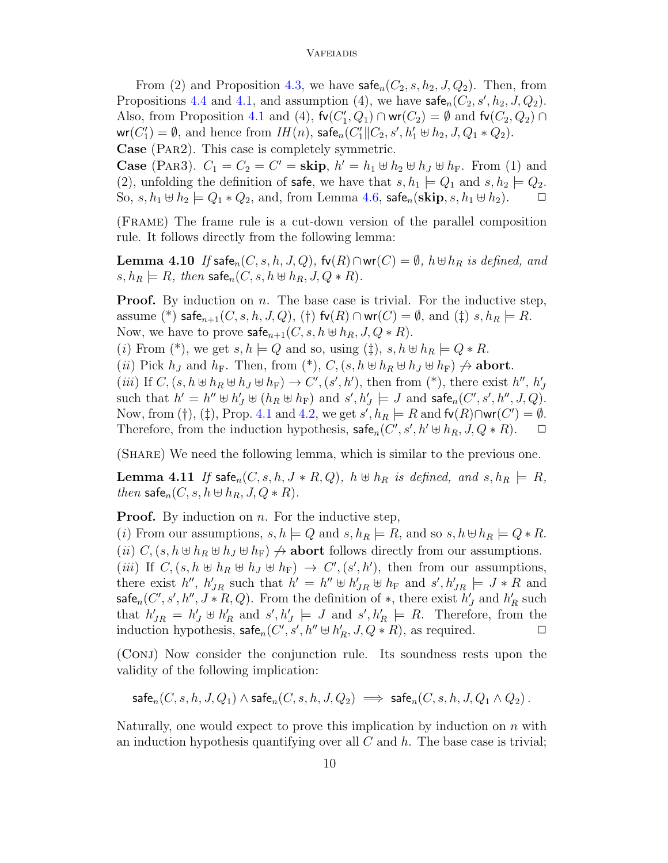From (2) and Proposition [4.3,](#page-7-4) we have  $\mathsf{safe}_n(C_2, s, h_2, J, Q_2)$ . Then, from Propositions [4.4](#page-7-5) and [4.1,](#page-7-6) and assumption (4), we have  $\mathsf{safe}_n(C_2, s', h_2, J, Q_2)$ . Also, from Proposition [4.1](#page-7-6) and (4),  $fv(C'_1, Q_1) \cap wr(C_2) = \emptyset$  and  $fv(C_2, Q_2) \cap$  $\textsf{wr}(C'_1) = \emptyset$ , and hence from  $IH(n)$ , safe $_n(C'_1 \| C_2, s', h'_1 \oplus h_2, J, Q_1 * Q_2)$ . Case (Par2). This case is completely symmetric.

**Case** (PAR3).  $C_1 = C_2 = C' =$ **skip**,  $h' = h_1 \oplus h_2 \oplus h_J \oplus h_F$ . From (1) and (2), unfolding the definition of safe, we have that  $s, h_1 \models Q_1$  and  $s, h_2 \models Q_2$ . So,  $s, h_1 \oplus h_2 \models Q_1 * Q_2$ , and, from Lemma [4.6,](#page-7-3) safe<sub>n</sub>(skip,  $s, h_1 \oplus h_2$ ).  $\Box$ 

(Frame) The frame rule is a cut-down version of the parallel composition rule. It follows directly from the following lemma:

Lemma 4.10 If safe<sub>n</sub> $(C, s, h, J, Q)$ , fv $(R) \cap \textsf{wr}(C) = \emptyset$ ,  $h \oplus h_R$  is defined, and  $s, h_R \models R$ , then safe<sub>n</sub> $(C, s, h \oplus h_R, J, Q \ast R)$ .

**Proof.** By induction on  $n$ . The base case is trivial. For the inductive step, assume (\*) safe $_{n+1}(C, s, h, J, Q)$ , (†) fv $(R) \cap$  wr $(C) = \emptyset$ , and ( $\ddagger$ ) s,  $h_R \models R$ . Now, we have to prove  $\mathsf{safe}_{n+1}(C, s, h \oplus h_R, J, Q \ast R).$ 

(i) From (\*), we get  $s, h \models Q$  and so, using ( $\ddagger$ ),  $s, h \not\sqcup h_R \models Q * R$ .

(ii) Pick  $h_J$  and  $h_F$ . Then, from  $(*)$ ,  $C$ ,  $(s, h \oplus h_R \oplus h_J \oplus h_F) \nightharpoonup$  abort.

(*iii*) If  $C, (s, h \oplus h_R \oplus h_J \oplus h_F) \rightarrow C', (s', h')$ , then from (\*), there exist  $h'', h'_J$ such that  $h' = h'' \oplus h'_J \oplus (h_R \oplus h_F)$  and  $s', h'_J \models J$  and  $\mathsf{safe}_n(C', s', h'', J, Q)$ . Now, from (†), (‡), Prop. [4.1](#page-7-6) and [4.2,](#page-7-1) we get  $s', h_R \models R$  and  $f(v(R) \cap wr(C') = \emptyset$ . Therefore, from the induction hypothesis,  $\mathsf{safe}_n(C', s', h' \oplus h_R, J, Q * R)$ .  $\Box$ 

(Share) We need the following lemma, which is similar to the previous one.

**Lemma 4.11** If  $\text{safe}_n(C, s, h, J * R, Q)$ ,  $h \oplus h_R$  is defined, and  $s, h_R \models R$ , then safe<sub>n</sub> $(C, s, h \oplus h_R, J, Q * R)$ .

**Proof.** By induction on  $n$ . For the inductive step,

(i) From our assumptions,  $s, h \models Q$  and  $s, h_R \models R$ , and so  $s, h \not\sqcup h_R \models Q * R$ . (ii)  $C$ ,  $(s, h \oplus h_R \oplus h_J \oplus h_F) \nightharpoonup$  abort follows directly from our assumptions.

(*iii*) If  $C, (s, h \oplus h_R \oplus h_J \oplus h_F) \rightarrow C', (s', h')$ , then from our assumptions, there exist  $h''$ ,  $h'_{JR}$  such that  $h' = h'' \oplus h'_{JR} \oplus h_F$  and  $s', h'_{JR} \models J * R$  and safe<sub>n</sub>(C', s', h'', J \* R, Q). From the definition of \*, there exist  $h'_J$  and  $h'_R$  such that  $h'_{JR} = h'_{J} \oplus h'_{R}$  and  $s', h'_{J} \models J$  and  $s', h'_{R} \models R$ . Therefore, from the induction hypothesis,  $\mathsf{safe}_n(C', s', h'' \oplus h'_R, J, Q * R)$ , as required.  $\Box$ 

(Conj) Now consider the conjunction rule. Its soundness rests upon the validity of the following implication:

$$
\mathsf{safe}_n(C, s, h, J, Q_1) \land \mathsf{safe}_n(C, s, h, J, Q_2) \implies \mathsf{safe}_n(C, s, h, J, Q_1 \land Q_2).
$$

Naturally, one would expect to prove this implication by induction on  $n$  with an induction hypothesis quantifying over all  $C$  and  $h$ . The base case is trivial;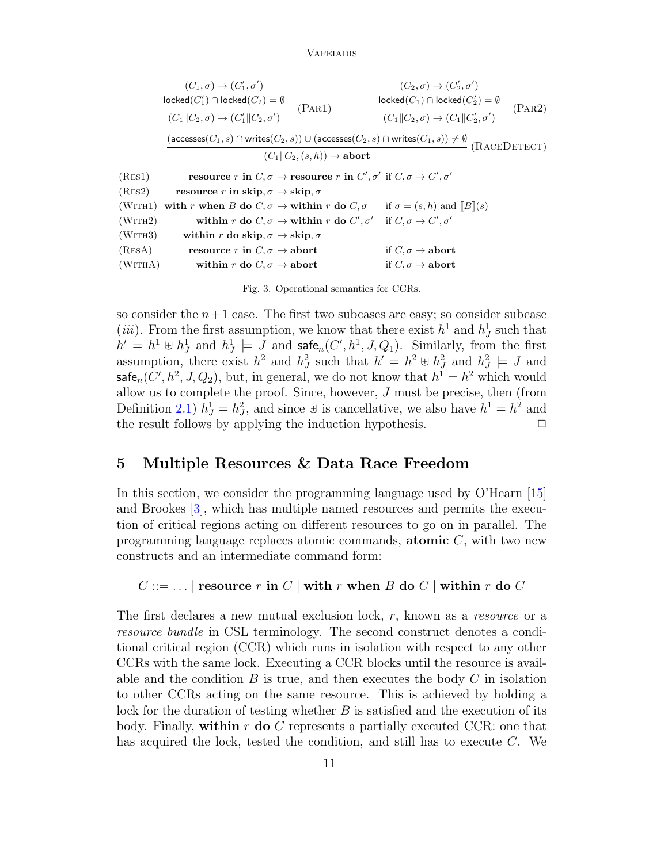|                                      | $(C_1,\sigma) \rightarrow (C'_1,\sigma')$                                                                                                                  |        | $(C_2,\sigma) \rightarrow (C'_2,\sigma')$                                                                             |  |        |
|--------------------------------------|------------------------------------------------------------------------------------------------------------------------------------------------------------|--------|-----------------------------------------------------------------------------------------------------------------------|--|--------|
|                                      |                                                                                                                                                            | (PAR1) |                                                                                                                       |  | (PAR2) |
|                                      | $\frac{\textsf{locked}(C'_1) \cap \textsf{locked}(C_2) = \emptyset}{(C_1    C_2, \sigma) \to (C'_1    C_2, \sigma')}$                                      |        | $\frac{\textsf{locked}(C_1) \cap \textsf{locked}(C_2') = \emptyset}{(C_1 \  C_2, \sigma) \to (C_1 \  C_2', \sigma')}$ |  |        |
|                                      | $(\textsf{accesses}(C_1,s) \cap \textsf{writes}(C_2,s)) \cup (\textsf{accesses}(C_2,s) \cap \textsf{writes}(C_1,s)) \neq \emptyset \; (\text{RACEDETECT})$ |        |                                                                                                                       |  |        |
| $(C_1  C_2,(s,h)) \rightarrow$ abort |                                                                                                                                                            |        |                                                                                                                       |  |        |
| (Res1)                               | resource r in $C, \sigma \to$ resource r in $C', \sigma'$ if $C, \sigma \to C', \sigma'$                                                                   |        |                                                                                                                       |  |        |
| (RES2)                               | resource r in skip, $\sigma \rightarrow$ skip, $\sigma$                                                                                                    |        |                                                                                                                       |  |        |
| (WITH1)                              | with r when B do $C, \sigma \to$ within r do $C, \sigma$ if $\sigma = (s, h)$ and $\ B\ (s)$                                                               |        |                                                                                                                       |  |        |
| (WITH2)                              | within r do $C, \sigma \rightarrow$ within r do $C', \sigma'$ if $C, \sigma \rightarrow C', \sigma'$                                                       |        |                                                                                                                       |  |        |
| (WITH3)                              | within r do skip, $\sigma \to \text{skip}, \sigma$                                                                                                         |        |                                                                                                                       |  |        |
| (RESA)                               | resource r in $C, \sigma \rightarrow$ abort                                                                                                                |        | if $C, \sigma \rightarrow$ abort                                                                                      |  |        |
| (WITHA)                              | within r do $C, \sigma \rightarrow$ abort                                                                                                                  |        | if $C, \sigma \rightarrow$ abort                                                                                      |  |        |
|                                      |                                                                                                                                                            |        |                                                                                                                       |  |        |

Fig. 3. Operational semantics for CCRs.

<span id="page-10-1"></span>so consider the  $n+1$  case. The first two subcases are easy; so consider subcase (*iii*). From the first assumption, we know that there exist  $h^1$  and  $h^1_J$  such that  $h' = h^1 \oplus h^1_J$  and  $h^1_J \models J$  and  $\mathsf{safe}_n(C', h^1, J, Q_1)$ . Similarly, from the first assumption, there exist  $h^2$  and  $h^2$  such that  $h' = h^2 \oplus h^2$  and  $h^2 = J$  and  $\mathsf{safe}_n(C',h^2,J,Q_2),$  but, in general, we do not know that  $h^1=h^2$  which would allow us to complete the proof. Since, however,  $J$  must be precise, then (from Definition [2.1\)](#page-4-1)  $h_j^1 = h_j^2$ , and since  $\forall$  is cancellative, we also have  $h^1 = h^2$  and the result follows by applying the induction hypothesis.

# <span id="page-10-0"></span>5 Multiple Resources & Data Race Freedom

In this section, we consider the programming language used by O'Hearn [\[15\]](#page-17-0) and Brookes [\[3\]](#page-16-2), which has multiple named resources and permits the execution of critical regions acting on different resources to go on in parallel. The programming language replaces atomic commands, **atomic**  $C$ , with two new constructs and an intermediate command form:

 $C ::= \dots |$  resource r in  $C |$  with r when B do  $C |$  within r do  $C$ 

The first declares a new mutual exclusion lock,  $r$ , known as a *resource* or a resource bundle in CSL terminology. The second construct denotes a conditional critical region (CCR) which runs in isolation with respect to any other CCRs with the same lock. Executing a CCR blocks until the resource is available and the condition  $B$  is true, and then executes the body  $C$  in isolation to other CCRs acting on the same resource. This is achieved by holding a lock for the duration of testing whether B is satisfied and the execution of its body. Finally, within r do C represents a partially executed CCR: one that has acquired the lock, tested the condition, and still has to execute C. We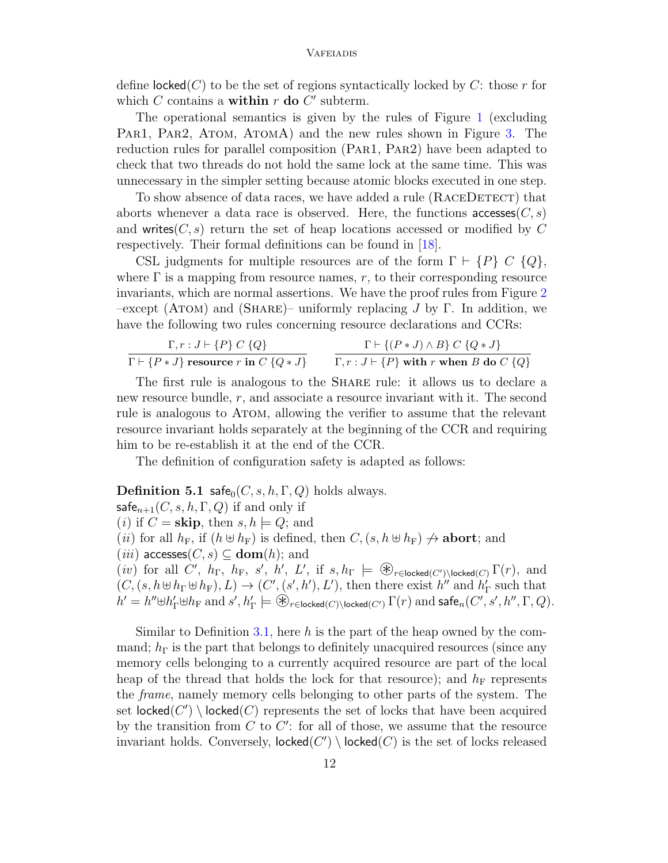define  $\text{locked}(C)$  to be the set of regions syntactically locked by C: those r for which  $C$  contains a **within**  $r$  do  $C'$  subterm.

The operational semantics is given by the rules of Figure [1](#page-2-1) (excluding Par1, Par2, Atom, AtomA) and the new rules shown in Figure [3.](#page-10-1) The reduction rules for parallel composition (Par1, Par2) have been adapted to check that two threads do not hold the same lock at the same time. This was unnecessary in the simpler setting because atomic blocks executed in one step.

To show absence of data races, we have added a rule (RACEDETECT) that aborts whenever a data race is observed. Here, the functions  $\arccos\left(\frac{C}{s}\right)$ and writes  $(C, s)$  return the set of heap locations accessed or modified by C respectively. Their formal definitions can be found in [\[18\]](#page-17-10).

CSL judgments for multiple resources are of the form  $\Gamma \vdash \{P\} \ C \ \{Q\},\$ where  $\Gamma$  is a mapping from resource names, r, to their corresponding resource invariants, which are normal assertions. We have the proof rules from Figure [2](#page-4-0)  $-\text{except (ATom)}$  and (SHARE)– uniformly replacing J by Γ. In addition, we have the following two rules concerning resource declarations and CCRs:

$$
\frac{\Gamma, r: J \vdash \{P\} \ C \ \{Q\}}{\Gamma \vdash \{P * J\} \ \text{resource } r \text{ in } C \ \{Q * J\}} \qquad \frac{\Gamma \vdash \{(P * J) \land B\} \ C \ \{Q * J\}}{\Gamma, r: J \vdash \{P\} \text{ with } r \text{ when } B \text{ do } C \ \{Q\}}
$$

The first rule is analogous to the Share rule: it allows us to declare a new resource bundle, r, and associate a resource invariant with it. The second rule is analogous to Atom, allowing the verifier to assume that the relevant resource invariant holds separately at the beginning of the CCR and requiring him to be re-establish it at the end of the CCR.

The definition of configuration safety is adapted as follows:

### **Definition 5.1** safe<sub>0</sub> $(C, s, h, \Gamma, Q)$  holds always.

safe<sub>n+1</sub> $(C, s, h, \Gamma, Q)$  if and only if (*i*) if  $C =$  **skip**, then  $s, h \models Q$ ; and (*ii*) for all  $h_F$ , if  $(h \oplus h_F)$  is defined, then  $C$ ,  $(s, h \oplus h_F) \nrightarrow$  **abort**; and  $(iii)$  accesses $(C, s) \subseteq \textbf{dom}(h)$ ; and (*iii*) decesses( $C, S$ )  $\subseteq$  **conf**(*ii*), and<br>(*iv*) for all *C'*, *h*<sub>F</sub>, *h*<sub>F</sub>, *s'*, *h'*, *L'*, if *s*, *h*<sub>F</sub>  $\models$   $\circledast_{r \in \text{locked}(C')}$ \locked(*C*)  $\Gamma(r)$ , and  $(C, (s, h \oplus h_{\Gamma} \oplus h_{\Gamma}), L) \rightarrow (C', (s', h'), L')$ , then there exist  $h''$  and  $h'_{\Gamma}$  such that  $h' = h'' \oplus h'_{\Gamma} \oplus h_{\Gamma}$  and  $s', h'_{\Gamma} \models \mathcal{L}_{r \in \mathsf{locked}(C) \setminus \mathsf{locked}(C')}$   $\Gamma(r)$  and safe<sub>n</sub> $(C', s', h'', \Gamma, Q)$ .

Similar to Definition [3.1,](#page-5-2) here h is the part of the heap owned by the command;  $h_{\Gamma}$  is the part that belongs to definitely unacquired resources (since any memory cells belonging to a currently acquired resource are part of the local heap of the thread that holds the lock for that resource); and  $h_F$  represents the frame, namely memory cells belonging to other parts of the system. The set  $\mathsf{locked}(C') \setminus \mathsf{locked}(C)$  represents the set of locks that have been acquired by the transition from  $C$  to  $C'$ : for all of those, we assume that the resource invariant holds. Conversely,  $\mathsf{locked}(C') \setminus \mathsf{locked}(C)$  is the set of locks released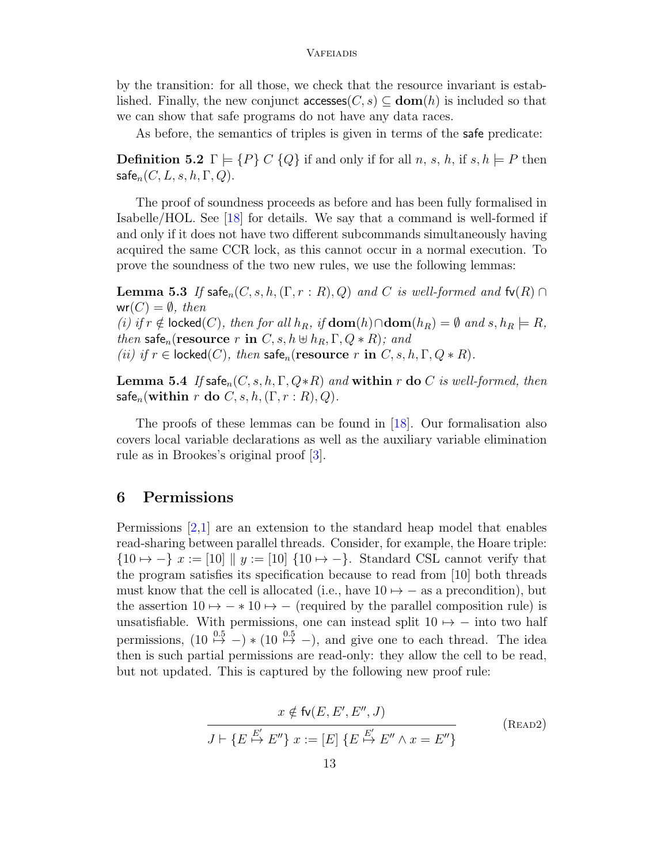by the transition: for all those, we check that the resource invariant is established. Finally, the new conjunct accesses( $C, s$ )  $\subseteq$  **dom**(h) is included so that we can show that safe programs do not have any data races.

As before, the semantics of triples is given in terms of the safe predicate:

**Definition 5.2**  $\Gamma \models \{P\} \ C \{Q\}$  if and only if for all n, s, h, if s, h  $\models P$  then  $\mathsf{safe}_n(C, L, s, h, \Gamma, Q).$ 

The proof of soundness proceeds as before and has been fully formalised in Isabelle/HOL. See [\[18\]](#page-17-10) for details. We say that a command is well-formed if and only if it does not have two different subcommands simultaneously having acquired the same CCR lock, as this cannot occur in a normal execution. To prove the soundness of the two new rules, we use the following lemmas:

<span id="page-12-1"></span>**Lemma 5.3** If safe<sub>n</sub> $(C, s, h, (\Gamma, r : R), Q)$  and C is well-formed and  $f\nu(R) \cap$  $wr(C) = \emptyset$ , then (i) if  $r \notin \text{locked}(C)$ , then for all  $h_R$ , if  $\text{dom}(h) \cap \text{dom}(h_R) = \emptyset$  and  $s, h_R \models R$ , then safe<sub>n</sub>(resource r in  $C, s, h \oplus h_R, \Gamma, Q \ast R$ ); and (ii) if  $r \in \textsf{locked}(C)$ , then safe<sub>n</sub>(resource r in  $C, s, h, \Gamma, Q \ast R$ ).

**Lemma 5.4** If safe<sub>n</sub> $(C, s, h, \Gamma, Q * R)$  and within r do C is well-formed, then safe<sub>n</sub>(within r do  $C, s, h, (\Gamma, r : R), Q$ ).

The proofs of these lemmas can be found in [\[18\]](#page-17-10). Our formalisation also covers local variable declarations as well as the auxiliary variable elimination rule as in Brookes's original proof [\[3\]](#page-16-2).

# <span id="page-12-0"></span>6 Permissions

Permissions [\[2,](#page-16-0)[1\]](#page-16-1) are an extension to the standard heap model that enables read-sharing between parallel threads. Consider, for example, the Hoare triple:  ${10 \mapsto -} \; x := [10] \; || \; y := [10] \; {10 \mapsto -}$ . Standard CSL cannot verify that the program satisfies its specification because to read from [10] both threads must know that the cell is allocated (i.e., have  $10 \rightarrow -$  as a precondition), but the assertion  $10 \mapsto -* 10 \mapsto -$  (required by the parallel composition rule) is unsatisfiable. With permissions, one can instead split  $10 \mapsto -$  into two half permissions,  $(10 \overset{0.5}{\mapsto} -) * (10 \overset{0.5}{\mapsto} -)$ , and give one to each thread. The idea then is such partial permissions are read-only: they allow the cell to be read, but not updated. This is captured by the following new proof rule:

$$
x \notin \text{fv}(E, E', E'', J)
$$
  

$$
J \vdash \{E \stackrel{E'}{\mapsto} E''\} x := [E] \{E \stackrel{E'}{\mapsto} E'' \land x = E''\}
$$
 (READ2)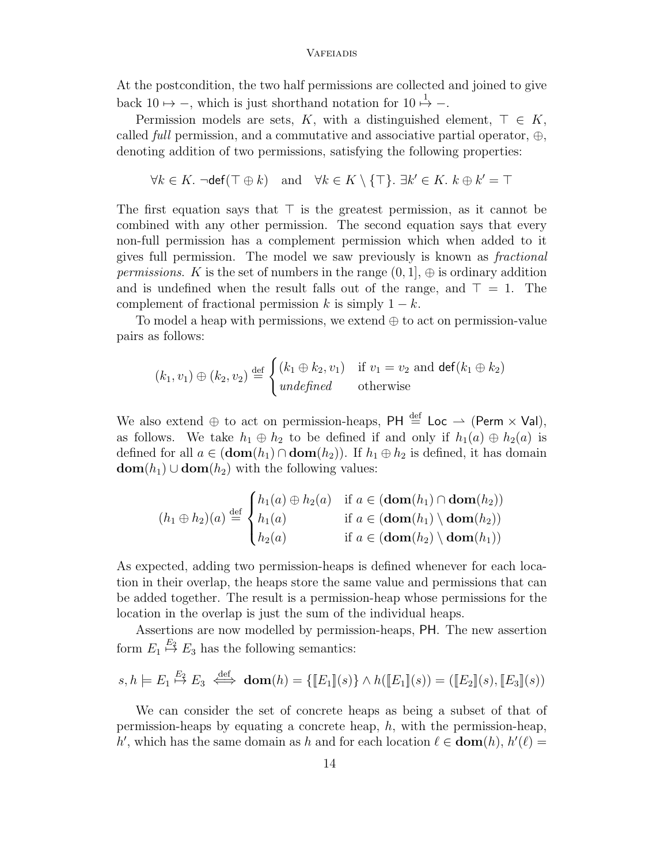At the postcondition, the two half permissions are collected and joined to give back 10  $\mapsto$  -, which is just shorthand notation for 10  $\stackrel{1}{\mapsto}$  -.

Permission models are sets, K, with a distinguished element,  $\top \in K$ , called *full* permission, and a commutative and associative partial operator,  $\oplus$ , denoting addition of two permissions, satisfying the following properties:

$$
\forall k \in K. \ \neg \text{def}(\top \oplus k) \quad \text{and} \quad \forall k \in K \setminus \{\top\}. \ \exists k' \in K. \ k \oplus k' = \top
$$

The first equation says that  $\top$  is the greatest permission, as it cannot be combined with any other permission. The second equation says that every non-full permission has a complement permission which when added to it gives full permission. The model we saw previously is known as fractional *permissions.* K is the set of numbers in the range  $(0, 1]$ ,  $\oplus$  is ordinary addition and is undefined when the result falls out of the range, and  $\top = 1$ . The complement of fractional permission k is simply  $1 - k$ .

To model a heap with permissions, we extend  $\oplus$  to act on permission-value pairs as follows:

$$
(k_1, v_1) \oplus (k_2, v_2) \stackrel{\text{def}}{=} \begin{cases} (k_1 \oplus k_2, v_1) & \text{if } v_1 = v_2 \text{ and } \text{def}(k_1 \oplus k_2) \\ \text{undefined} & \text{otherwise} \end{cases}
$$

We also extend  $\oplus$  to act on permission-heaps, PH  $\stackrel{\text{def}}{=}$  Loc  $\rightarrow$  (Perm  $\times$  Val), as follows. We take  $h_1 \oplus h_2$  to be defined if and only if  $h_1(a) \oplus h_2(a)$  is defined for all  $a \in (\textbf{dom}(h_1) \cap \textbf{dom}(h_2))$ . If  $h_1 \oplus h_2$  is defined, it has domain  $dom(h_1) \cup dom(h_2)$  with the following values:

$$
(h_1 \oplus h_2)(a) \stackrel{\text{def}}{=} \begin{cases} h_1(a) \oplus h_2(a) & \text{if } a \in (\text{dom}(h_1) \cap \text{dom}(h_2)) \\ h_1(a) & \text{if } a \in (\text{dom}(h_1) \setminus \text{dom}(h_2)) \\ h_2(a) & \text{if } a \in (\text{dom}(h_2) \setminus \text{dom}(h_1)) \end{cases}
$$

As expected, adding two permission-heaps is defined whenever for each location in their overlap, the heaps store the same value and permissions that can be added together. The result is a permission-heap whose permissions for the location in the overlap is just the sum of the individual heaps.

Assertions are now modelled by permission-heaps, PH. The new assertion form  $E_1 \stackrel{E_2}{\mapsto} E_3$  has the following semantics:

$$
s, h \models E_1 \stackrel{E_2}{\mapsto} E_3 \iff \textbf{dom}(h) = \{ [E_1](s) \} \land h([E_1](s)) = ([E_2](s), [E_3](s))
$$

We can consider the set of concrete heaps as being a subset of that of permission-heaps by equating a concrete heap, h, with the permission-heap, h', which has the same domain as h and for each location  $\ell \in \text{dom}(h)$ ,  $h'(\ell) =$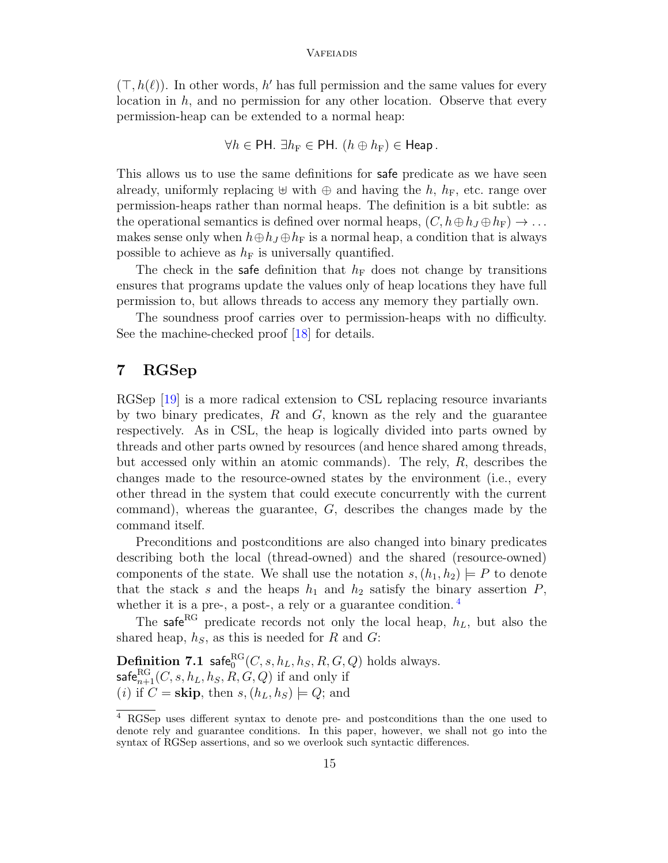$(\top, h(\ell))$ . In other words, h' has full permission and the same values for every location in  $h$ , and no permission for any other location. Observe that every permission-heap can be extended to a normal heap:

$$
\forall h \in \text{PH. } \exists h_{\text{F}} \in \text{PH. } (h \oplus h_{\text{F}}) \in \text{Heap.}
$$

This allows us to use the same definitions for safe predicate as we have seen already, uniformly replacing  $\uplus$  with  $\oplus$  and having the h,  $h_F$ , etc. range over permission-heaps rather than normal heaps. The definition is a bit subtle: as the operational semantics is defined over normal heaps,  $(C, h \oplus h_I \oplus h_F) \rightarrow \dots$ makes sense only when  $h \oplus h_J \oplus h_F$  is a normal heap, a condition that is always possible to achieve as  $h_F$  is universally quantified.

The check in the safe definition that  $h_F$  does not change by transitions ensures that programs update the values only of heap locations they have full permission to, but allows threads to access any memory they partially own.

The soundness proof carries over to permission-heaps with no difficulty. See the machine-checked proof [\[18\]](#page-17-10) for details.

# <span id="page-14-0"></span>7 RGSep

RGSep [\[19\]](#page-17-9) is a more radical extension to CSL replacing resource invariants by two binary predicates,  $R$  and  $G$ , known as the rely and the guarantee respectively. As in CSL, the heap is logically divided into parts owned by threads and other parts owned by resources (and hence shared among threads, but accessed only within an atomic commands). The rely,  $R$ , describes the changes made to the resource-owned states by the environment (i.e., every other thread in the system that could execute concurrently with the current command), whereas the guarantee, G, describes the changes made by the command itself.

Preconditions and postconditions are also changed into binary predicates describing both the local (thread-owned) and the shared (resource-owned) components of the state. We shall use the notation  $s,(h_1,h_2) \models P$  to denote that the stack s and the heaps  $h_1$  and  $h_2$  satisfy the binary assertion  $P$ , whether it is a pre-, a post-, a rely or a guarantee condition.<sup>[4](#page-14-1)</sup>

The safe<sup>RG</sup> predicate records not only the local heap,  $h_L$ , but also the shared heap,  $h<sub>S</sub>$ , as this is needed for R and G:

**Definition 7.1** safe ${}_{0}^{\text{RG}}(C, s, h_L, h_S, R, G, Q)$  holds always.  $\mathsf{safe}_{n+1}^{\mathsf{RG}}(C,s,h_L,h_S,R,G,Q)$  if and only if (*i*) if  $C =$  **skip**, then  $s,(h<sub>L</sub>,h<sub>S</sub>) \models Q$ ; and

<span id="page-14-1"></span><sup>4</sup> RGSep uses different syntax to denote pre- and postconditions than the one used to denote rely and guarantee conditions. In this paper, however, we shall not go into the syntax of RGSep assertions, and so we overlook such syntactic differences.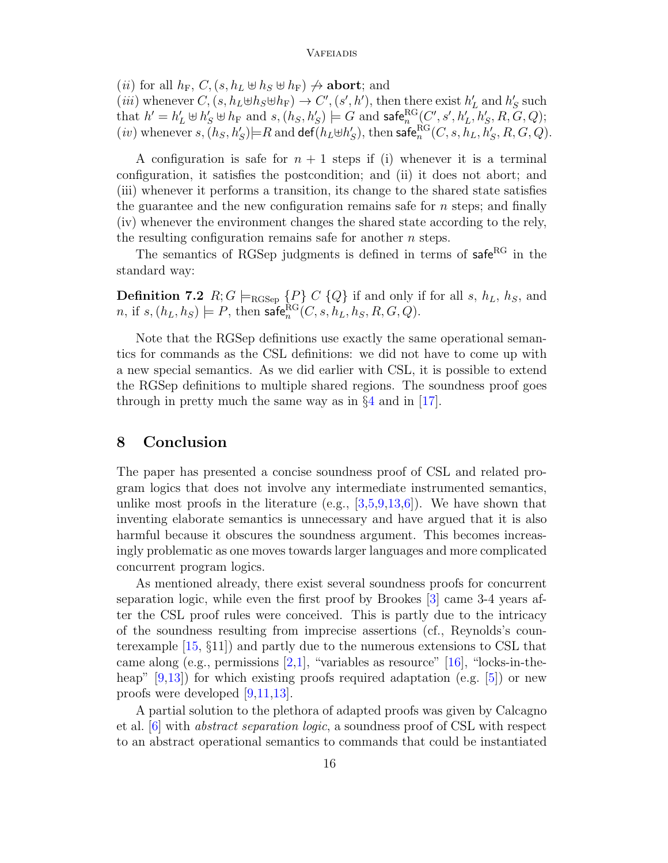(*ii*) for all  $h_F$ ,  $C$ ,  $(s, h_L \oplus h_S \oplus h_F) \nightharpoonup$  **abort**; and

(*iii*) whenever  $C, (s, h_L \oplus h_S \oplus h_F) \to C', (s', h')$ , then there exist  $h'_L$  and  $h'_S$  such that  $h' = h'_L \uplus h'_S \uplus h_F$  and  $s, (h_S, h'_S) \models G$  and  $\mathsf{safe}^{\mathsf{RG}}_n(C', s', h'_L, h'_S, R, G, Q);$  $(iv)$  whenever  $s, (h_S, h_S') \models R$  and  $\mathsf{def}(h_L \oplus h_S'),$  then  $\mathsf{safe}^{\mathsf{RG}}_n(C, s, h_L, h_S', R, G, Q).$ 

A configuration is safe for  $n + 1$  steps if (i) whenever it is a terminal configuration, it satisfies the postcondition; and (ii) it does not abort; and (iii) whenever it performs a transition, its change to the shared state satisfies the guarantee and the new configuration remains safe for  $n$  steps; and finally (iv) whenever the environment changes the shared state according to the rely, the resulting configuration remains safe for another  $n$  steps.

The semantics of RGSep judgments is defined in terms of  $\mathsf{safe}^{\mathsf{RG}}$  in the standard way:

**Definition 7.2**  $R; G \models_{\text{RGSep}} \{P\} \subset \{Q\}$  if and only if for all s,  $h_L$ ,  $h_S$ , and *n*, if  $s,(h_L, h_S) \models P$ , then  $\mathsf{safe}^{\mathsf{RG}}_n(C, s, h_L, h_S, R, G, Q)$ .

Note that the RGSep definitions use exactly the same operational semantics for commands as the CSL definitions: we did not have to come up with a new special semantics. As we did earlier with CSL, it is possible to extend the RGSep definitions to multiple shared regions. The soundness proof goes through in pretty much the same way as in  $\S 4$  $\S 4$  and in [\[17\]](#page-17-11).

### 8 Conclusion

The paper has presented a concise soundness proof of CSL and related program logics that does not involve any intermediate instrumented semantics, unlike most proofs in the literature (e.g.,  $[3,5,9,13,6]$  $[3,5,9,13,6]$  $[3,5,9,13,6]$  $[3,5,9,13,6]$  $[3,5,9,13,6]$ ). We have shown that inventing elaborate semantics is unnecessary and have argued that it is also harmful because it obscures the soundness argument. This becomes increasingly problematic as one moves towards larger languages and more complicated concurrent program logics.

As mentioned already, there exist several soundness proofs for concurrent separation logic, while even the first proof by Brookes [\[3\]](#page-16-2) came 3-4 years after the CSL proof rules were conceived. This is partly due to the intricacy of the soundness resulting from imprecise assertions (cf., Reynolds's counterexample [\[15,](#page-17-0) §11]) and partly due to the numerous extensions to CSL that came along (e.g., permissions  $[2,1]$  $[2,1]$ , "variables as resource"  $[16]$ , "locks-in-theheap"  $[9,13]$  $[9,13]$ ) for which existing proofs required adaptation (e.g.  $[5]$ ) or new proofs were developed [\[9](#page-17-1)[,11,](#page-17-4)[13\]](#page-17-2).

A partial solution to the plethora of adapted proofs was given by Calcagno et al. [\[6\]](#page-16-4) with abstract separation logic, a soundness proof of CSL with respect to an abstract operational semantics to commands that could be instantiated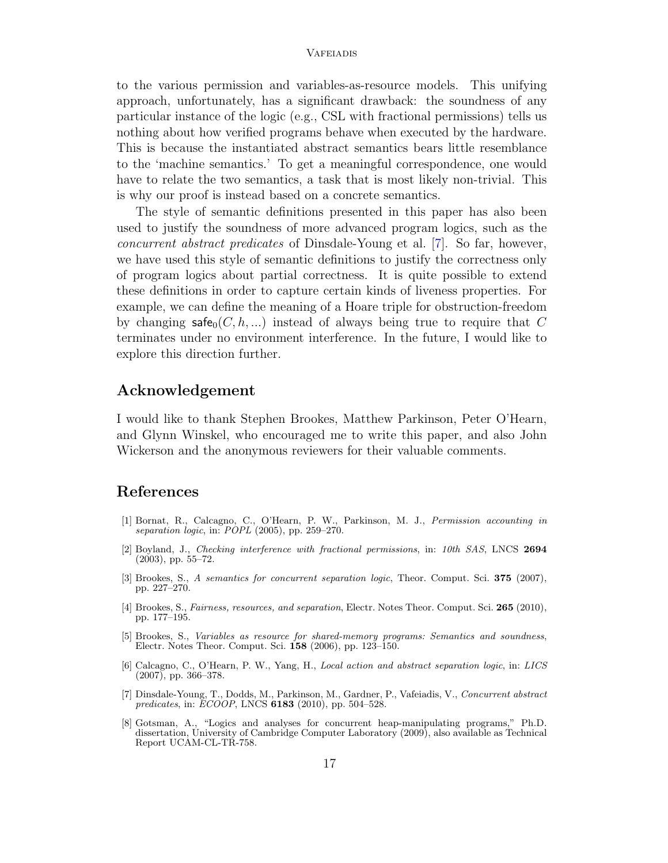to the various permission and variables-as-resource models. This unifying approach, unfortunately, has a significant drawback: the soundness of any particular instance of the logic (e.g., CSL with fractional permissions) tells us nothing about how verified programs behave when executed by the hardware. This is because the instantiated abstract semantics bears little resemblance to the 'machine semantics.' To get a meaningful correspondence, one would have to relate the two semantics, a task that is most likely non-trivial. This is why our proof is instead based on a concrete semantics.

The style of semantic definitions presented in this paper has also been used to justify the soundness of more advanced program logics, such as the concurrent abstract predicates of Dinsdale-Young et al. [\[7\]](#page-16-6). So far, however, we have used this style of semantic definitions to justify the correctness only of program logics about partial correctness. It is quite possible to extend these definitions in order to capture certain kinds of liveness properties. For example, we can define the meaning of a Hoare triple for obstruction-freedom by changing  $\mathsf{safe}_0(C, h, \ldots)$  instead of always being true to require that C terminates under no environment interference. In the future, I would like to explore this direction further.

### Acknowledgement

I would like to thank Stephen Brookes, Matthew Parkinson, Peter O'Hearn, and Glynn Winskel, who encouraged me to write this paper, and also John Wickerson and the anonymous reviewers for their valuable comments.

# References

- <span id="page-16-1"></span>[1] Bornat, R., Calcagno, C., O'Hearn, P. W., Parkinson, M. J., Permission accounting in separation logic, in: POPL (2005), pp. 259–270.
- <span id="page-16-0"></span>[2] Boyland, J., Checking interference with fractional permissions, in: 10th SAS, LNCS 2694 (2003), pp. 55–72.
- <span id="page-16-2"></span>[3] Brookes, S., A semantics for concurrent separation logic, Theor. Comput. Sci. 375 (2007), pp. 227–270.
- <span id="page-16-5"></span>[4] Brookes, S., Fairness, resources, and separation, Electr. Notes Theor. Comput. Sci. 265 (2010), pp. 177–195.
- <span id="page-16-3"></span>[5] Brookes, S., Variables as resource for shared-memory programs: Semantics and soundness, Electr. Notes Theor. Comput. Sci. 158 (2006), pp. 123–150.
- <span id="page-16-4"></span>[6] Calcagno, C., O'Hearn, P. W., Yang, H., Local action and abstract separation logic, in: LICS  $(2007)$ , pp. 366–378.
- <span id="page-16-6"></span>[7] Dinsdale-Young, T., Dodds, M., Parkinson, M., Gardner, P., Vafeiadis, V., Concurrent abstract predicates, in: ECOOP, LNCS 6183 (2010), pp. 504–528.
- [8] Gotsman, A., "Logics and analyses for concurrent heap-manipulating programs," Ph.D. dissertation, University of Cambridge Computer Laboratory (2009), also available as Technical Report UCAM-CL-TR-758.